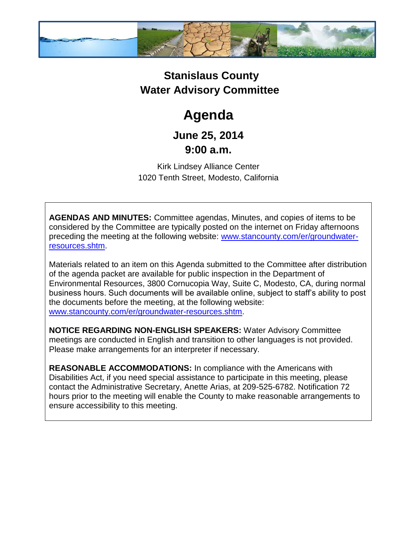

## **Stanislaus County Water Advisory Committee**

# **Agenda**

### **June 25, 2014 9:00 a.m.**

Kirk Lindsey Alliance Center 1020 Tenth Street, Modesto, California

**AGENDAS AND MINUTES:** Committee agendas, Minutes, and copies of items to be considered by the Committee are typically posted on the internet on Friday afternoons preceding the meeting at the following website: [www.stancounty.com/er/groundwater](http://www.stancounty.com/er/groundwater-resources.shtm)[resources.shtm.](http://www.stancounty.com/er/groundwater-resources.shtm)

Materials related to an item on this Agenda submitted to the Committee after distribution of the agenda packet are available for public inspection in the Department of Environmental Resources, 3800 Cornucopia Way, Suite C, Modesto, CA, during normal business hours. Such documents will be available online, subject to staff's ability to post the documents before the meeting, at the following website: [www.stancounty.com/er/groundwater-resources.shtm.](http://www.stancounty.com/er/groundwater-resources.shtm)

**NOTICE REGARDING NON-ENGLISH SPEAKERS:** Water Advisory Committee meetings are conducted in English and transition to other languages is not provided. Please make arrangements for an interpreter if necessary.

**REASONABLE ACCOMMODATIONS:** In compliance with the Americans with Disabilities Act, if you need special assistance to participate in this meeting, please contact the Administrative Secretary, Anette Arias, at 209-525-6782. Notification 72 hours prior to the meeting will enable the County to make reasonable arrangements to ensure accessibility to this meeting.